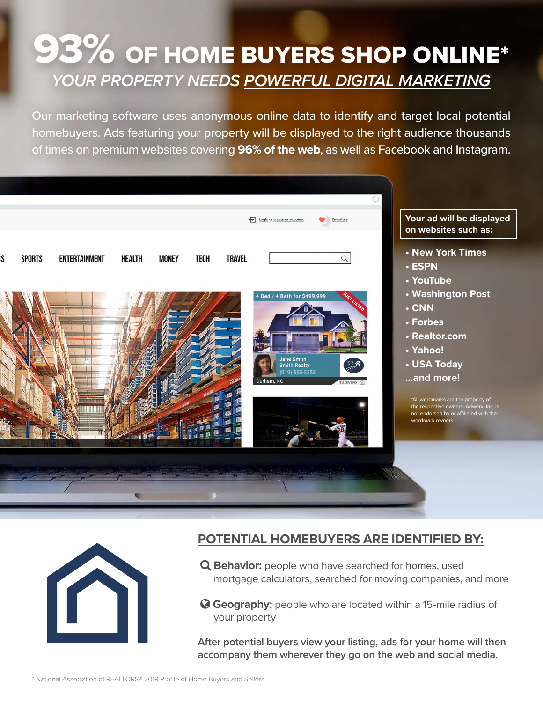## 93% OF HOME BUYERS SHOP ONLINE\* *YOUR PROPERTY NEEDS POWERFUL DIGITAL MARKETING*

Our marketing software uses anonymous online data to identify and target local potential homebuyers. Ads featuring your property will be displayed to the right audience thousands of times on premium websites covering **96% of the web**, as well as Facebook and Instagram.





## **POTENTIAL HOMEBUYERS ARE IDENTIFIED BY:**

 **Behavior:** people who have searched for homes, used mortgage calculators, searched for moving companies, and more

 **Geography:** people who are located within a 15-mile radius of your property

**After potential buyers view your listing, ads for your home will then accompany them wherever they go on the web and social media.**